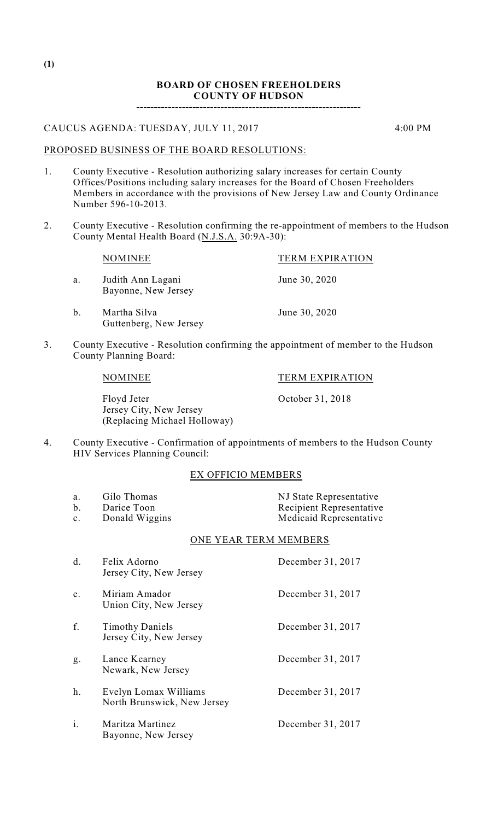## CAUCUS AGENDA: TUESDAY, JULY 11, 2017 4:00 PM

PROPOSED BUSINESS OF THE BOARD RESOLUTIONS:

- 1. County Executive Resolution authorizing salary increases for certain County Offices/Positions including salary increases for the Board of Chosen Freeholders Members in accordance with the provisions of New Jersey Law and County Ordinance Number 596-10-2013.
- 2. County Executive Resolution confirming the re-appointment of members to the Hudson County Mental Health Board (N.J.S.A. 30:9A-30):

|               | NOMINEE                                  | <b>TERM EXPIRATION</b> |
|---------------|------------------------------------------|------------------------|
| a.            | Judith Ann Lagani<br>Bayonne, New Jersey | June 30, 2020          |
| $\mathbf b$ . | Martha Silva<br>Guttenberg, New Jersey   | June 30, 2020          |

3. County Executive - Resolution confirming the appointment of member to the Hudson County Planning Board:

Floyd Jeter Corober 31, 2018 Jersey City, New Jersey (Replacing Michael Holloway)

4. County Executive - Confirmation of appointments of members to the Hudson County HIV Services Planning Council:

## EX OFFICIO MEMBERS

a. Gilo Thomas NJ State Representative b. Darice Toon Recipient Representative<br>
c. Donald Wiggins<br>
Recipient Representative<br>
Recipient Representative c. Donald Wiggins Medicaid Representative

# ONE YEAR TERM MEMBERS

| d. | Felix Adorno<br>Jersey City, New Jersey              | December 31, 2017 |
|----|------------------------------------------------------|-------------------|
| e. | Miriam Amador<br>Union City, New Jersey              | December 31, 2017 |
| f. | <b>Timothy Daniels</b><br>Jersey City, New Jersey    | December 31, 2017 |
| g. | Lance Kearney<br>Newark, New Jersey                  | December 31, 2017 |
| h. | Evelyn Lomax Williams<br>North Brunswick, New Jersey | December 31, 2017 |
| i. | Maritza Martinez<br>Bayonne, New Jersey              | December 31, 2017 |

NOMINEE TERM EXPIRATION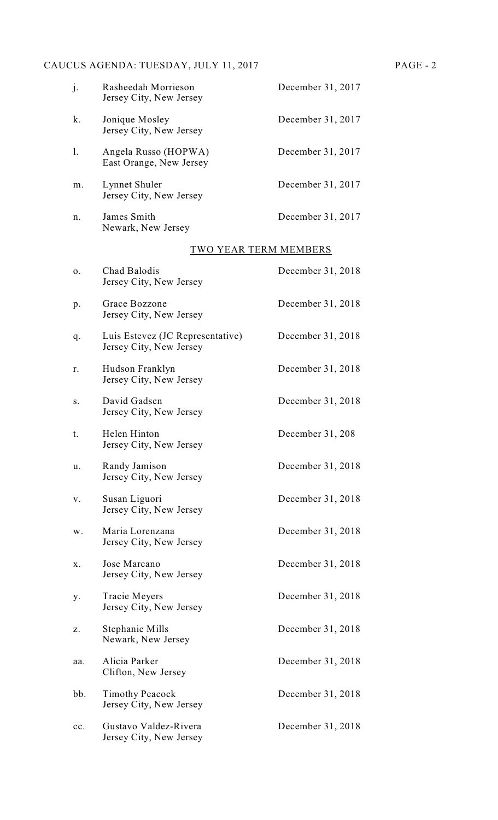# CAUCUS AGENDA: TUESDAY, JULY 11, 2017 PAGE - 2

| j.             | Rasheedah Morrieson<br>Jersey City, New Jersey              | December 31, 2017     |
|----------------|-------------------------------------------------------------|-----------------------|
| k.             | Jonique Mosley<br>Jersey City, New Jersey                   | December 31, 2017     |
| $\mathbf{1}$ . | Angela Russo (HOPWA)<br>East Orange, New Jersey             | December 31, 2017     |
| m.             | Lynnet Shuler<br>Jersey City, New Jersey                    | December 31, 2017     |
| n.             | James Smith<br>Newark, New Jersey                           | December 31, 2017     |
|                |                                                             | TWO YEAR TERM MEMBERS |
| 0.             | Chad Balodis<br>Jersey City, New Jersey                     | December 31, 2018     |
| p.             | Grace Bozzone<br>Jersey City, New Jersey                    | December 31, 2018     |
| q.             | Luis Estevez (JC Representative)<br>Jersey City, New Jersey | December 31, 2018     |
| r.             | Hudson Franklyn<br>Jersey City, New Jersey                  | December 31, 2018     |
| S.             | David Gadsen<br>Jersey City, New Jersey                     | December 31, 2018     |
| t.             | Helen Hinton<br>Jersey City, New Jersey                     | December $31, 208$    |
| u.             | Randy Jamison<br>Jersey City, New Jersey                    | December 31, 2018     |
| V.             | Susan Liguori<br>Jersey City, New Jersey                    | December 31, 2018     |
| w.             | Maria Lorenzana<br>Jersey City, New Jersey                  | December 31, 2018     |
| X.             | Jose Marcano<br>Jersey City, New Jersey                     | December 31, 2018     |
| у.             | Tracie Meyers<br>Jersey City, New Jersey                    | December 31, 2018     |

- z. Stephanie Mills December 31, 2018 Newark, New Jersey aa. Alicia Parker December 31, 2018 Clifton, New Jersey
- bb. Timothy Peacock December 31, 2018 Jersey City, New Jersey

cc. Gustavo Valdez-Rivera December 31, 2018 Jersey City, New Jersey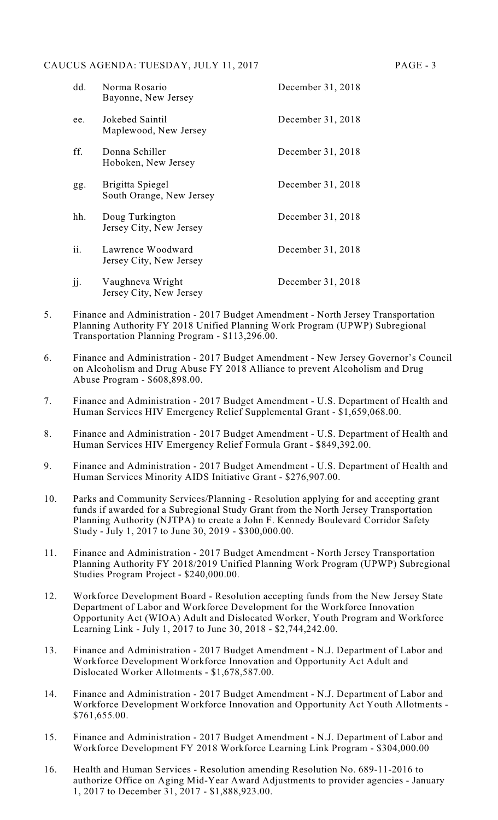#### CAUCUS AGENDA: TUESDAY, JULY 11, 2017 PAGE - 3

| dd. | Norma Rosario<br>Bayonne, New Jersey         | December 31, 2018 |
|-----|----------------------------------------------|-------------------|
| ee. | Jokebed Saintil<br>Maplewood, New Jersey     | December 31, 2018 |
| ff. | Donna Schiller<br>Hoboken, New Jersey        | December 31, 2018 |
| gg. | Brigitta Spiegel<br>South Orange, New Jersey | December 31, 2018 |
| hh. | Doug Turkington<br>Jersey City, New Jersey   | December 31, 2018 |
| ii. | Lawrence Woodward<br>Jersey City, New Jersey | December 31, 2018 |
| jj. | Vaughneva Wright<br>Jersey City, New Jersey  | December 31, 2018 |

- 5. Finance and Administration 2017 Budget Amendment North Jersey Transportation Planning Authority FY 2018 Unified Planning Work Program (UPWP) Subregional Transportation Planning Program - \$113,296.00.
- 6. Finance and Administration 2017 Budget Amendment New Jersey Governor's Council on Alcoholism and Drug Abuse FY 2018 Alliance to prevent Alcoholism and Drug Abuse Program - \$608,898.00.
- 7. Finance and Administration 2017 Budget Amendment U.S. Department of Health and Human Services HIV Emergency Relief Supplemental Grant - \$1,659,068.00.
- 8. Finance and Administration 2017 Budget Amendment U.S. Department of Health and Human Services HIV Emergency Relief Formula Grant - \$849,392.00.
- 9. Finance and Administration 2017 Budget Amendment U.S. Department of Health and Human Services Minority AIDS Initiative Grant - \$276,907.00.
- 10. Parks and Community Services/Planning Resolution applying for and accepting grant funds if awarded for a Subregional Study Grant from the North Jersey Transportation Planning Authority (NJTPA) to create a John F. Kennedy Boulevard Corridor Safety Study - July 1, 2017 to June 30, 2019 - \$300,000.00.
- 11. Finance and Administration 2017 Budget Amendment North Jersey Transportation Planning Authority FY 2018/2019 Unified Planning Work Program (UPWP) Subregional Studies Program Project - \$240,000.00.
- 12. Workforce Development Board Resolution accepting funds from the New Jersey State Department of Labor and Workforce Development for the Workforce Innovation Opportunity Act (WIOA) Adult and Dislocated Worker, Youth Program and Workforce Learning Link - July 1, 2017 to June 30, 2018 - \$2,744,242.00.
- 13. Finance and Administration 2017 Budget Amendment N.J. Department of Labor and Workforce Development Workforce Innovation and Opportunity Act Adult and Dislocated Worker Allotments - \$1,678,587.00.
- 14. Finance and Administration 2017 Budget Amendment N.J. Department of Labor and Workforce Development Workforce Innovation and Opportunity Act Youth Allotments - \$761,655.00.
- 15. Finance and Administration 2017 Budget Amendment N.J. Department of Labor and Workforce Development FY 2018 Workforce Learning Link Program - \$304,000.00
- 16. Health and Human Services Resolution amending Resolution No. 689-11-2016 to authorize Office on Aging Mid-Year Award Adjustments to provider agencies - January 1, 2017 to December 31, 2017 - \$1,888,923.00.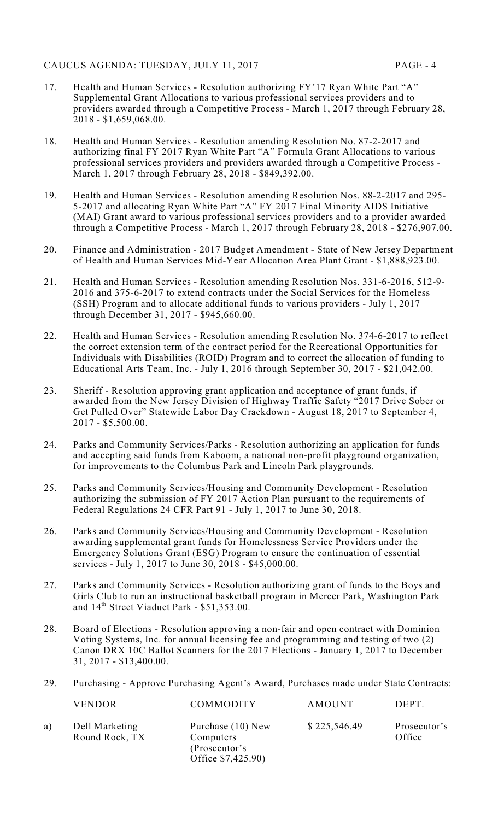- 17. Health and Human Services Resolution authorizing FY'17 Ryan White Part "A" Supplemental Grant Allocations to various professional services providers and to providers awarded through a Competitive Process - March 1, 2017 through February 28, 2018 - \$1,659,068.00.
- 18. Health and Human Services Resolution amending Resolution No. 87-2-2017 and authorizing final FY 2017 Ryan White Part "A" Formula Grant Allocations to various professional services providers and providers awarded through a Competitive Process - March 1, 2017 through February 28, 2018 - \$849,392.00.
- 19. Health and Human Services Resolution amending Resolution Nos. 88-2-2017 and 295- 5-2017 and allocating Ryan White Part "A" FY 2017 Final Minority AIDS Initiative (MAI) Grant award to various professional services providers and to a provider awarded through a Competitive Process - March 1, 2017 through February 28, 2018 - \$276,907.00.
- 20. Finance and Administration 2017 Budget Amendment State of New Jersey Department of Health and Human Services Mid-Year Allocation Area Plant Grant - \$1,888,923.00.
- 21. Health and Human Services Resolution amending Resolution Nos. 331-6-2016, 512-9- 2016 and 375-6-2017 to extend contracts under the Social Services for the Homeless (SSH) Program and to allocate additional funds to various providers - July 1, 2017 through December 31, 2017 - \$945,660.00.
- 22. Health and Human Services Resolution amending Resolution No. 374-6-2017 to reflect the correct extension term of the contract period for the Recreational Opportunities for Individuals with Disabilities (ROID) Program and to correct the allocation of funding to Educational Arts Team, Inc. - July 1, 2016 through September 30, 2017 - \$21,042.00.
- 23. Sheriff Resolution approving grant application and acceptance of grant funds, if awarded from the New Jersey Division of Highway Traffic Safety "2017 Drive Sober or Get Pulled Over" Statewide Labor Day Crackdown - August 18, 2017 to September 4, 2017 - \$5,500.00.
- 24. Parks and Community Services/Parks Resolution authorizing an application for funds and accepting said funds from Kaboom, a national non-profit playground organization, for improvements to the Columbus Park and Lincoln Park playgrounds.
- 25. Parks and Community Services/Housing and Community Development Resolution authorizing the submission of FY 2017 Action Plan pursuant to the requirements of Federal Regulations 24 CFR Part 91 - July 1, 2017 to June 30, 2018.
- 26. Parks and Community Services/Housing and Community Development Resolution awarding supplemental grant funds for Homelessness Service Providers under the Emergency Solutions Grant (ESG) Program to ensure the continuation of essential services - July 1, 2017 to June 30, 2018 - \$45,000.00.
- 27. Parks and Community Services Resolution authorizing grant of funds to the Boys and Girls Club to run an instructional basketball program in Mercer Park, Washington Park and  $14<sup>th</sup>$  Street Viaduct Park - \$51,353.00.
- 28. Board of Elections Resolution approving a non-fair and open contract with Dominion Voting Systems, Inc. for annual licensing fee and programming and testing of two (2) Canon DRX 10C Ballot Scanners for the 2017 Elections - January 1, 2017 to December 31, 2017 - \$13,400.00.
- 29. Purchasing Approve Purchasing Agent's Award, Purchases made under State Contracts:

|    | <b>VENDOR</b>                    | COMMODITY                                                             | <b>AMOUNT</b> | DEPT.                  |
|----|----------------------------------|-----------------------------------------------------------------------|---------------|------------------------|
| a) | Dell Marketing<br>Round Rock, TX | Purchase (10) New<br>Computers<br>(Prosecutor's<br>Office \$7,425.90) | \$225,546.49  | Prosecutor's<br>Office |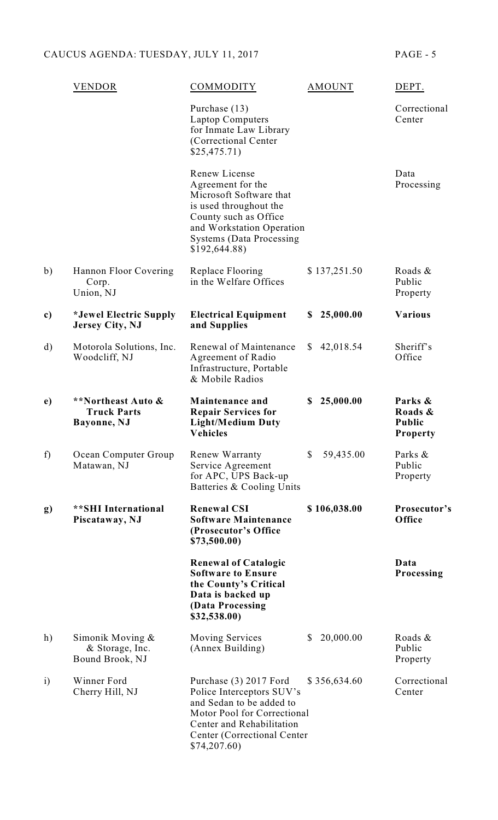|              | VENDOR                                                    | COMMODITY                                                                                                                                                                                         | AMOUNT                    | DEPT.                                                  |
|--------------|-----------------------------------------------------------|---------------------------------------------------------------------------------------------------------------------------------------------------------------------------------------------------|---------------------------|--------------------------------------------------------|
|              |                                                           | Purchase (13)<br><b>Laptop Computers</b><br>for Inmate Law Library<br>(Correctional Center<br>\$25,475.71)                                                                                        |                           | Correctional<br>Center                                 |
|              |                                                           | Renew License<br>Agreement for the<br>Microsoft Software that<br>is used throughout the<br>County such as Office<br>and Workstation Operation<br><b>Systems (Data Processing</b><br>\$192,644.88) |                           | Data<br>Processing                                     |
| b)           | Hannon Floor Covering<br>Corp.<br>Union, NJ               | Replace Flooring<br>in the Welfare Offices                                                                                                                                                        | \$137,251.50              | Roads &<br>Public<br>Property                          |
| c)           | *Jewel Electric Supply<br><b>Jersey City, NJ</b>          | <b>Electrical Equipment</b><br>and Supplies                                                                                                                                                       | 25,000.00<br>S            | <b>Various</b>                                         |
| $\mathbf{d}$ | Motorola Solutions, Inc.<br>Woodcliff, NJ                 | Renewal of Maintenance<br>Agreement of Radio<br>Infrastructure, Portable<br>& Mobile Radios                                                                                                       | 42,018.54<br>S.           | Sheriff's<br>Office                                    |
| e)           | **Northeast Auto &<br><b>Truck Parts</b><br>Bayonne, NJ   | Maintenance and<br><b>Repair Services for</b><br><b>Light/Medium Duty</b><br><b>Vehicles</b>                                                                                                      | 25,000.00<br>S            | Parks &<br>Roads &<br><b>Public</b><br><b>Property</b> |
| f)           | Ocean Computer Group<br>Matawan, NJ                       | Renew Warranty<br>Service Agreement<br>for APC, UPS Back-up<br>Batteries & Cooling Units                                                                                                          | 59,435.00<br>$\mathbb{S}$ | Parks &<br>Public<br>Property                          |
| $\mathbf{g}$ | <b>**SHI</b> International<br>Piscataway, NJ              | <b>Renewal CSI</b><br><b>Software Maintenance</b><br>(Prosecutor's Office)<br>\$73,500.00)                                                                                                        | \$106,038.00              | Prosecutor's<br>Office                                 |
|              |                                                           | <b>Renewal of Catalogic</b><br><b>Software to Ensure</b><br>the County's Critical<br>Data is backed up<br>(Data Processing<br>\$32,538.00)                                                        |                           | Data<br>Processing                                     |
| h)           | Simonik Moving $\&$<br>& Storage, Inc.<br>Bound Brook, NJ | <b>Moving Services</b><br>(Annex Building)                                                                                                                                                        | 20,000.00<br>\$           | Roads &<br>Public<br>Property                          |
| $\mathbf{i}$ | Winner Ford<br>Cherry Hill, NJ                            | Purchase (3) 2017 Ford<br>Police Interceptors SUV's<br>and Sedan to be added to<br>Motor Pool for Correctional<br>Center and Rehabilitation<br>Center (Correctional Center)<br>\$74,207.60)       | \$356,634.60              | Correctional<br>Center                                 |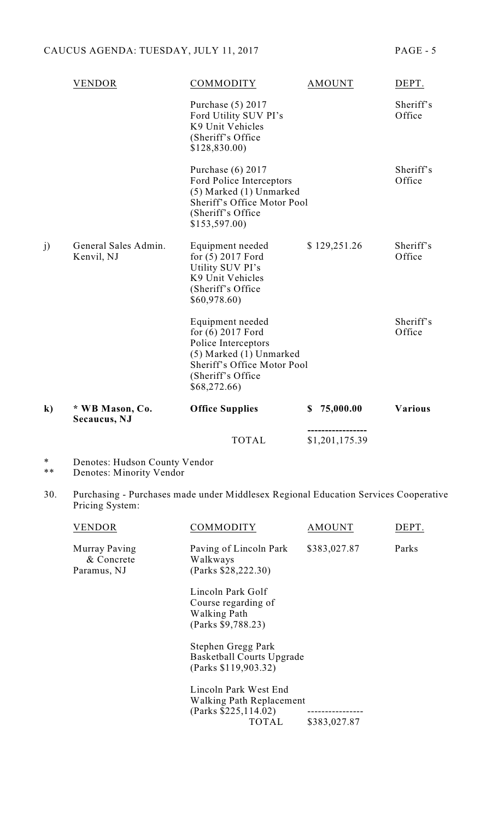|          |                                    | <b>TOTAL</b>                                                                                                                                                | \$1,201,175.39  |                     |
|----------|------------------------------------|-------------------------------------------------------------------------------------------------------------------------------------------------------------|-----------------|---------------------|
| $\bf k)$ | * WB Mason, Co.<br>Secaucus, NJ    | <b>Office Supplies</b>                                                                                                                                      | 75,000.00<br>\$ | <b>Various</b>      |
|          |                                    | Equipment needed<br>for (6) 2017 Ford<br>Police Interceptors<br>(5) Marked (1) Unmarked<br>Sheriff's Office Motor Pool<br>(Sheriff's Office<br>\$68,272.66) |                 | Sheriff's<br>Office |
| j)       | General Sales Admin.<br>Kenvil, NJ | Equipment needed<br>for (5) 2017 Ford<br>Utility SUV PI's<br>K9 Unit Vehicles<br>(Sheriff's Office)<br>\$60,978.60                                          | \$129,251.26    | Sheriff's<br>Office |
|          |                                    | Purchase (6) 2017<br>Ford Police Interceptors<br>(5) Marked (1) Unmarked<br>Sheriff's Office Motor Pool<br>(Sheriff's Office<br>\$153,597.00                |                 | Sheriff's<br>Office |
|          |                                    | Purchase (5) 2017<br>Ford Utility SUV PI's<br>K9 Unit Vehicles<br>(Sheriff's Office)<br>\$128,830.00                                                        |                 | Sheriff's<br>Office |
|          | VENDOR                             | COMMODITY                                                                                                                                                   | <b>AMOUNT</b>   | DEPT.               |

- \* Denotes: Hudson County Vendor
- \*\* Denotes: Minority Vendor
- 30. Purchasing Purchases made under Middlesex Regional Education Services Cooperative Pricing System:

| VENDOR                                     | COMMODITY                                                                             | <b>AMOUNT</b>                                   | DEPT. |
|--------------------------------------------|---------------------------------------------------------------------------------------|-------------------------------------------------|-------|
| Murray Paving<br>& Concrete<br>Paramus, NJ | Paving of Lincoln Park<br>Walkways<br>(Parks \$28,222.30)                             | \$383,027.87                                    | Parks |
|                                            | Lincoln Park Golf<br>Course regarding of<br><b>Walking Path</b><br>(Parks \$9,788.23) |                                                 |       |
|                                            | Stephen Gregg Park<br>Basketball Courts Upgrade<br>(Parks \$119,903.32)               |                                                 |       |
|                                            | Lincoln Park West End<br>Walking Path Replacement<br>(Parks \$225,114.02)<br>TOTAL    | . _ _ _ _ _ _ _ _ _ _ _ _ _ _ _<br>\$383,027.87 |       |
|                                            |                                                                                       |                                                 |       |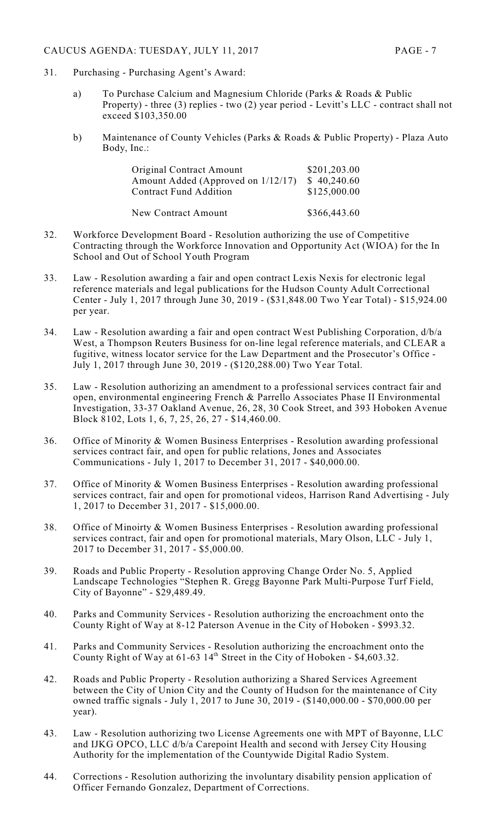# CAUCUS AGENDA: TUESDAY, JULY 11, 2017 PAGE - 7

- 31. Purchasing Purchasing Agent's Award:
	- a) To Purchase Calcium and Magnesium Chloride (Parks & Roads & Public Property) - three (3) replies - two (2) year period - Levitt's LLC - contract shall not exceed \$103,350.00
	- b) Maintenance of County Vehicles (Parks & Roads & Public Property) Plaza Auto Body, Inc.:

| <b>Original Contract Amount</b>       | \$201,203.00 |
|---------------------------------------|--------------|
| Amount Added (Approved on $1/12/17$ ) | \$40,240.60  |
| <b>Contract Fund Addition</b>         | \$125,000.00 |
|                                       |              |

| New Contract Amount | \$366,443.60 |
|---------------------|--------------|
|---------------------|--------------|

- 32. Workforce Development Board Resolution authorizing the use of Competitive Contracting through the Workforce Innovation and Opportunity Act (WIOA) for the In School and Out of School Youth Program
- 33. Law Resolution awarding a fair and open contract Lexis Nexis for electronic legal reference materials and legal publications for the Hudson County Adult Correctional Center - July 1, 2017 through June 30, 2019 - (\$31,848.00 Two Year Total) - \$15,924.00 per year.
- 34. Law Resolution awarding a fair and open contract West Publishing Corporation, d/b/a West, a Thompson Reuters Business for on-line legal reference materials, and CLEAR a fugitive, witness locator service for the Law Department and the Prosecutor's Office - July 1, 2017 through June 30, 2019 - (\$120,288.00) Two Year Total.
- 35. Law Resolution authorizing an amendment to a professional services contract fair and open, environmental engineering French & Parrello Associates Phase II Environmental Investigation, 33-37 Oakland Avenue, 26, 28, 30 Cook Street, and 393 Hoboken Avenue Block 8102, Lots 1, 6, 7, 25, 26, 27 - \$14,460.00.
- 36. Office of Minority & Women Business Enterprises Resolution awarding professional services contract fair, and open for public relations, Jones and Associates Communications - July 1, 2017 to December 31, 2017 - \$40,000.00.
- 37. Office of Minority & Women Business Enterprises Resolution awarding professional services contract, fair and open for promotional videos, Harrison Rand Advertising - July 1, 2017 to December 31, 2017 - \$15,000.00.
- 38. Office of Minoirty & Women Business Enterprises Resolution awarding professional services contract, fair and open for promotional materials, Mary Olson, LLC - July 1, 2017 to December 31, 2017 - \$5,000.00.
- 39. Roads and Public Property Resolution approving Change Order No. 5, Applied Landscape Technologies "Stephen R. Gregg Bayonne Park Multi-Purpose Turf Field, City of Bayonne" - \$29,489.49.
- 40. Parks and Community Services Resolution authorizing the encroachment onto the County Right of Way at 8-12 Paterson Avenue in the City of Hoboken - \$993.32.
- 41. Parks and Community Services Resolution authorizing the encroachment onto the County Right of Way at  $61-63$   $14<sup>th</sup>$  Street in the City of Hoboken - \$4,603.32.
- 42. Roads and Public Property Resolution authorizing a Shared Services Agreement between the City of Union City and the County of Hudson for the maintenance of City owned traffic signals - July 1, 2017 to June 30, 2019 - (\$140,000.00 - \$70,000.00 per year).
- 43. Law Resolution authorizing two License Agreements one with MPT of Bayonne, LLC and IJKG OPCO, LLC d/b/a Carepoint Health and second with Jersey City Housing Authority for the implementation of the Countywide Digital Radio System.
- 44. Corrections Resolution authorizing the involuntary disability pension application of Officer Fernando Gonzalez, Department of Corrections.